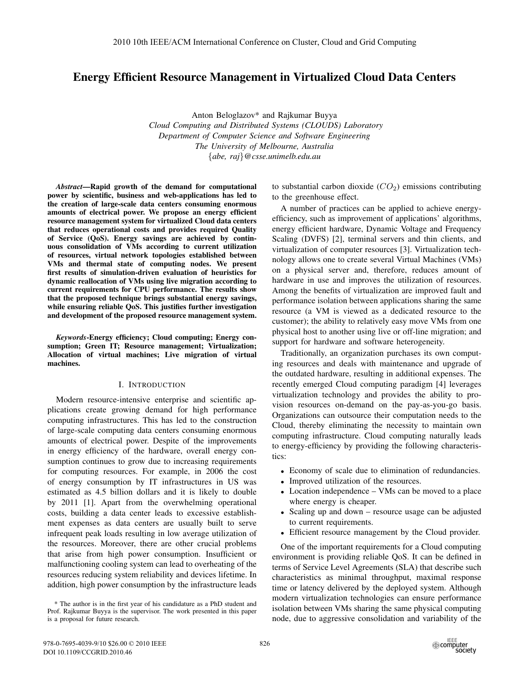# Energy Efficient Resource Management in Virtualized Cloud Data Centers

Anton Beloglazov\* and Rajkumar Buyya *Cloud Computing and Distributed Systems (CLOUDS) Laboratory Department of Computer Science and Software Engineering The University of Melbourne, Australia* {*abe, raj*}*@csse.unimelb.edu.au*

*Abstract*—Rapid growth of the demand for computational power by scientific, business and web-applications has led to the creation of large-scale data centers consuming enormous amounts of electrical power. We propose an energy efficient resource management system for virtualized Cloud data centers that reduces operational costs and provides required Quality of Service (QoS). Energy savings are achieved by continuous consolidation of VMs according to current utilization of resources, virtual network topologies established between VMs and thermal state of computing nodes. We present first results of simulation-driven evaluation of heuristics for dynamic reallocation of VMs using live migration according to current requirements for CPU performance. The results show that the proposed technique brings substantial energy savings, while ensuring reliable QoS. This justifies further investigation and development of the proposed resource management system.

*Keywords*-Energy efficiency; Cloud computing; Energy consumption; Green IT; Resource management; Virtualization; Allocation of virtual machines; Live migration of virtual machines.

# I. INTRODUCTION

Modern resource-intensive enterprise and scientific applications create growing demand for high performance computing infrastructures. This has led to the construction of large-scale computing data centers consuming enormous amounts of electrical power. Despite of the improvements in energy efficiency of the hardware, overall energy consumption continues to grow due to increasing requirements for computing resources. For example, in 2006 the cost of energy consumption by IT infrastructures in US was estimated as 4.5 billion dollars and it is likely to double by 2011 [1]. Apart from the overwhelming operational costs, building a data center leads to excessive establishment expenses as data centers are usually built to serve infrequent peak loads resulting in low average utilization of the resources. Moreover, there are other crucial problems that arise from high power consumption. Insufficient or malfunctioning cooling system can lead to overheating of the resources reducing system reliability and devices lifetime. In addition, high power consumption by the infrastructure leads to substantial carbon dioxide  $(CO_2)$  emissions contributing to the greenhouse effect.

A number of practices can be applied to achieve energyefficiency, such as improvement of applications' algorithms, energy efficient hardware, Dynamic Voltage and Frequency Scaling (DVFS) [2], terminal servers and thin clients, and virtualization of computer resources [3]. Virtualization technology allows one to create several Virtual Machines (VMs) on a physical server and, therefore, reduces amount of hardware in use and improves the utilization of resources. Among the benefits of virtualization are improved fault and performance isolation between applications sharing the same resource (a VM is viewed as a dedicated resource to the customer); the ability to relatively easy move VMs from one physical host to another using live or off-line migration; and support for hardware and software heterogeneity.

Traditionally, an organization purchases its own computing resources and deals with maintenance and upgrade of the outdated hardware, resulting in additional expenses. The recently emerged Cloud computing paradigm [4] leverages virtualization technology and provides the ability to provision resources on-demand on the pay-as-you-go basis. Organizations can outsource their computation needs to the Cloud, thereby eliminating the necessity to maintain own computing infrastructure. Cloud computing naturally leads to energy-efficiency by providing the following characteristics:

- Economy of scale due to elimination of redundancies.
- Improved utilization of the resources.
- Location independence VMs can be moved to a place where energy is cheaper.
- Scaling up and down resource usage can be adjusted to current requirements.
- Efficient resource management by the Cloud provider.

One of the important requirements for a Cloud computing environment is providing reliable QoS. It can be defined in terms of Service Level Agreements (SLA) that describe such characteristics as minimal throughput, maximal response time or latency delivered by the deployed system. Although modern virtualization technologies can ensure performance isolation between VMs sharing the same physical computing node, due to aggressive consolidation and variability of the

<sup>\*</sup> The author is in the first year of his candidature as a PhD student and Prof. Rajkumar Buyya is the supervisor. The work presented in this paper is a proposal for future research.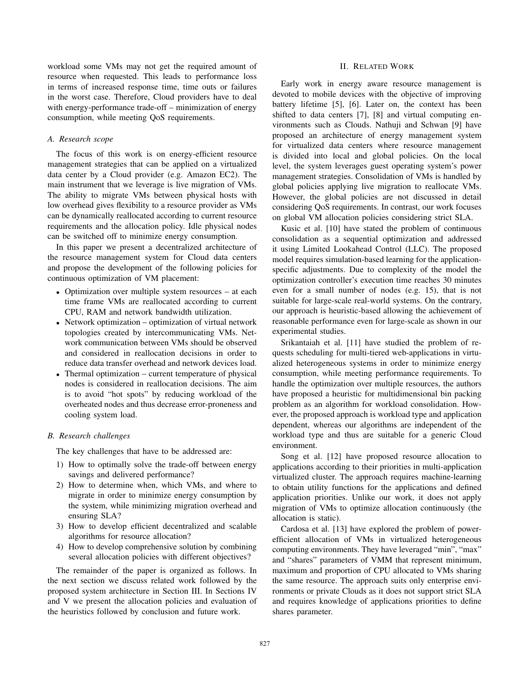workload some VMs may not get the required amount of resource when requested. This leads to performance loss in terms of increased response time, time outs or failures in the worst case. Therefore, Cloud providers have to deal with energy-performance trade-off – minimization of energy consumption, while meeting QoS requirements.

#### *A. Research scope*

The focus of this work is on energy-efficient resource management strategies that can be applied on a virtualized data center by a Cloud provider (e.g. Amazon EC2). The main instrument that we leverage is live migration of VMs. The ability to migrate VMs between physical hosts with low overhead gives flexibility to a resource provider as VMs can be dynamically reallocated according to current resource requirements and the allocation policy. Idle physical nodes can be switched off to minimize energy consumption.

In this paper we present a decentralized architecture of the resource management system for Cloud data centers and propose the development of the following policies for continuous optimization of VM placement:

- Optimization over multiple system resources at each time frame VMs are reallocated according to current CPU, RAM and network bandwidth utilization.
- Network optimization optimization of virtual network topologies created by intercommunicating VMs. Network communication between VMs should be observed and considered in reallocation decisions in order to reduce data transfer overhead and network devices load.
- Thermal optimization current temperature of physical nodes is considered in reallocation decisions. The aim is to avoid "hot spots" by reducing workload of the overheated nodes and thus decrease error-proneness and cooling system load.

## *B. Research challenges*

The key challenges that have to be addressed are:

- 1) How to optimally solve the trade-off between energy savings and delivered performance?
- 2) How to determine when, which VMs, and where to migrate in order to minimize energy consumption by the system, while minimizing migration overhead and ensuring SLA?
- 3) How to develop efficient decentralized and scalable algorithms for resource allocation?
- 4) How to develop comprehensive solution by combining several allocation policies with different objectives?

The remainder of the paper is organized as follows. In the next section we discuss related work followed by the proposed system architecture in Section III. In Sections IV and V we present the allocation policies and evaluation of the heuristics followed by conclusion and future work.

### II. RELATED WORK

Early work in energy aware resource management is devoted to mobile devices with the objective of improving battery lifetime [5], [6]. Later on, the context has been shifted to data centers [7], [8] and virtual computing environments such as Clouds. Nathuji and Schwan [9] have proposed an architecture of energy management system for virtualized data centers where resource management is divided into local and global policies. On the local level, the system leverages guest operating system's power management strategies. Consolidation of VMs is handled by global policies applying live migration to reallocate VMs. However, the global policies are not discussed in detail considering QoS requirements. In contrast, our work focuses on global VM allocation policies considering strict SLA.

Kusic et al. [10] have stated the problem of continuous consolidation as a sequential optimization and addressed it using Limited Lookahead Control (LLC). The proposed model requires simulation-based learning for the applicationspecific adjustments. Due to complexity of the model the optimization controller's execution time reaches 30 minutes even for a small number of nodes (e.g. 15), that is not suitable for large-scale real-world systems. On the contrary, our approach is heuristic-based allowing the achievement of reasonable performance even for large-scale as shown in our experimental studies.

Srikantaiah et al. [11] have studied the problem of requests scheduling for multi-tiered web-applications in virtualized heterogeneous systems in order to minimize energy consumption, while meeting performance requirements. To handle the optimization over multiple resources, the authors have proposed a heuristic for multidimensional bin packing problem as an algorithm for workload consolidation. However, the proposed approach is workload type and application dependent, whereas our algorithms are independent of the workload type and thus are suitable for a generic Cloud environment.

Song et al. [12] have proposed resource allocation to applications according to their priorities in multi-application virtualized cluster. The approach requires machine-learning to obtain utility functions for the applications and defined application priorities. Unlike our work, it does not apply migration of VMs to optimize allocation continuously (the allocation is static).

Cardosa et al. [13] have explored the problem of powerefficient allocation of VMs in virtualized heterogeneous computing environments. They have leveraged "min", "max" and "shares" parameters of VMM that represent minimum, maximum and proportion of CPU allocated to VMs sharing the same resource. The approach suits only enterprise environments or private Clouds as it does not support strict SLA and requires knowledge of applications priorities to define shares parameter.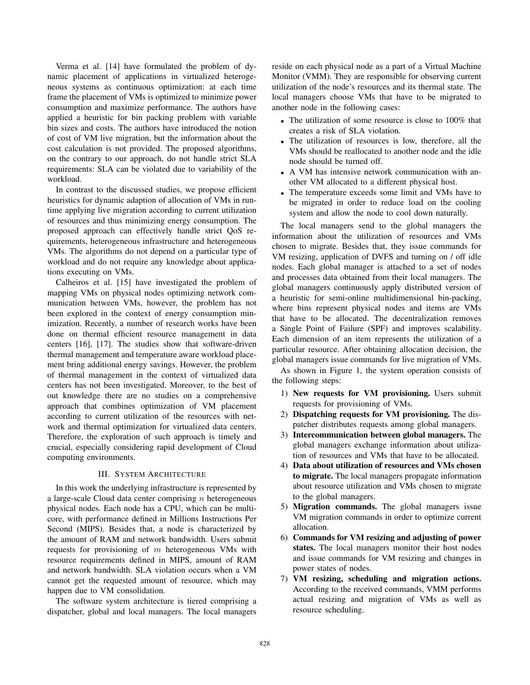Verma et al. [14] have formulated the problem of dynamic placement of applications in virtualized heterogeneous systems as continuous optimization: at each time frame the placement of VMs is optimized to minimize power consumption and maximize performance. The authors have applied a heuristic for bin packing problem with variable bin sizes and costs. The authors have introduced the notion of cost of VM live migration, but the information about the cost calculation is not provided. The proposed algorithms, on the contrary to our approach, do not handle strict SLA requirements: SLA can be violated due to variability of the workload.

In contrast to the discussed studies, we propose efficient heuristics for dynamic adaption of allocation of VMs in runtime applying live migration according to current utilization of resources and thus minimizing energy consumption. The proposed approach can effectively handle strict QoS requirements, heterogeneous infrastructure and heterogeneous VMs. The algorithms do not depend on a particular type of workload and do not require any knowledge about applications executing on VMs.

Calheiros et al. [15] have investigated the problem of mapping VMs on physical nodes optimizing network communication between VMs, however, the problem has not been explored in the context of energy consumption minimization. Recently, a number of research works have been done on thermal efficient resource management in data centers [16], [17]. The studies show that software-driven thermal management and temperature aware workload placement bring additional energy savings. However, the problem of thermal management in the context of virtualized data centers has not been investigated. Moreover, to the best of out knowledge there are no studies on a comprehensive approach that combines optimization of VM placement according to current utilization of the resources with network and thermal optimization for virtualized data centers. Therefore, the exploration of such approach is timely and crucial, especially considering rapid development of Cloud computing environments.

### III. SYSTEM ARCHITECTURE

In this work the underlying infrastructure is represented by a large-scale Cloud data center comprising  $n$  heterogeneous physical nodes. Each node has a CPU, which can be multicore, with performance defined in Millions Instructions Per Second (MIPS). Besides that, a node is characterized by the amount of RAM and network bandwidth. Users submit requests for provisioning of  $m$  heterogeneous VMs with resource requirements defined in MIPS, amount of RAM and network bandwidth. SLA violation occurs when a VM cannot get the requested amount of resource, which may happen due to VM consolidation.

The software system architecture is tiered comprising a dispatcher, global and local managers. The local managers reside on each physical node as a part of a Virtual Machine Monitor (VMM). They are responsible for observing current utilization of the node's resources and its thermal state. The local managers choose VMs that have to be migrated to another node in the following cases:

- The utilization of some resource is close to 100% that creates a risk of SLA violation.
- The utilization of resources is low, therefore, all the VMs should be reallocated to another node and the idle node should be turned off.
- A VM has intensive network communication with another VM allocated to a different physical host.
- The temperature exceeds some limit and VMs have to be migrated in order to reduce load on the cooling system and allow the node to cool down naturally.

The local managers send to the global managers the information about the utilization of resources and VMs chosen to migrate. Besides that, they issue commands for VM resizing, application of DVFS and turning on / off idle nodes. Each global manager is attached to a set of nodes and processes data obtained from their local managers. The global managers continuously apply distributed version of a heuristic for semi-online multidimensional bin-packing, where bins represent physical nodes and items are VMs that have to be allocated. The decentralization removes a Single Point of Failure (SPF) and improves scalability. Each dimension of an item represents the utilization of a particular resource. After obtaining allocation decision, the global managers issue commands for live migration of VMs.

As shown in Figure 1, the system operation consists of the following steps:

- 1) New requests for VM provisioning. Users submit requests for provisioning of VMs.
- 2) Dispatching requests for VM provisioning. The dispatcher distributes requests among global managers.
- 3) Intercommunication between global managers. The global managers exchange information about utilization of resources and VMs that have to be allocated.
- 4) Data about utilization of resources and VMs chosen to migrate. The local managers propagate information about resource utilization and VMs chosen to migrate to the global managers.
- 5) Migration commands. The global managers issue VM migration commands in order to optimize current allocation.
- 6) Commands for VM resizing and adjusting of power states. The local managers monitor their host nodes and issue commands for VM resizing and changes in power states of nodes.
- 7) VM resizing, scheduling and migration actions. According to the received commands, VMM performs actual resizing and migration of VMs as well as resource scheduling.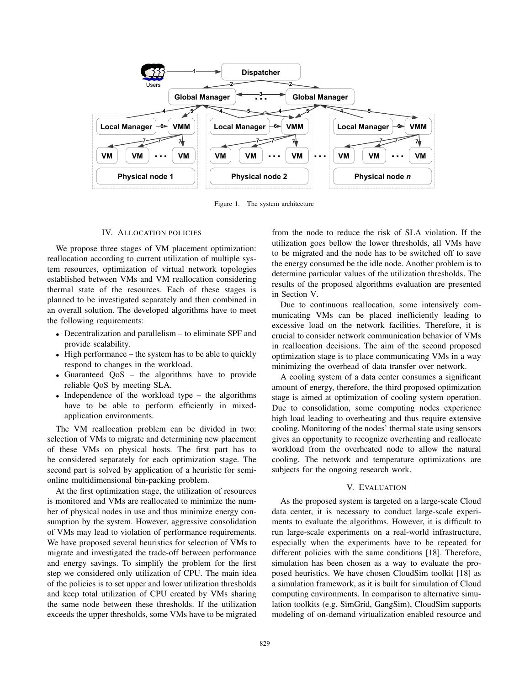

Figure 1. The system architecture

### IV. ALLOCATION POLICIES

We propose three stages of VM placement optimization: reallocation according to current utilization of multiple system resources, optimization of virtual network topologies established between VMs and VM reallocation considering thermal state of the resources. Each of these stages is planned to be investigated separately and then combined in an overall solution. The developed algorithms have to meet the following requirements:

- Decentralization and parallelism to eliminate SPF and provide scalability.
- High performance the system has to be able to quickly respond to changes in the workload.
- Guaranteed QoS the algorithms have to provide reliable QoS by meeting SLA.
- Independence of the workload type the algorithms have to be able to perform efficiently in mixedapplication environments.

The VM reallocation problem can be divided in two: selection of VMs to migrate and determining new placement of these VMs on physical hosts. The first part has to be considered separately for each optimization stage. The second part is solved by application of a heuristic for semionline multidimensional bin-packing problem.

At the first optimization stage, the utilization of resources is monitored and VMs are reallocated to minimize the number of physical nodes in use and thus minimize energy consumption by the system. However, aggressive consolidation of VMs may lead to violation of performance requirements. We have proposed several heuristics for selection of VMs to migrate and investigated the trade-off between performance and energy savings. To simplify the problem for the first step we considered only utilization of CPU. The main idea of the policies is to set upper and lower utilization thresholds and keep total utilization of CPU created by VMs sharing the same node between these thresholds. If the utilization exceeds the upper thresholds, some VMs have to be migrated from the node to reduce the risk of SLA violation. If the utilization goes bellow the lower thresholds, all VMs have to be migrated and the node has to be switched off to save the energy consumed be the idle node. Another problem is to determine particular values of the utilization thresholds. The results of the proposed algorithms evaluation are presented in Section V.

Due to continuous reallocation, some intensively communicating VMs can be placed inefficiently leading to excessive load on the network facilities. Therefore, it is crucial to consider network communication behavior of VMs in reallocation decisions. The aim of the second proposed optimization stage is to place communicating VMs in a way minimizing the overhead of data transfer over network.

A cooling system of a data center consumes a significant amount of energy, therefore, the third proposed optimization stage is aimed at optimization of cooling system operation. Due to consolidation, some computing nodes experience high load leading to overheating and thus require extensive cooling. Monitoring of the nodes' thermal state using sensors gives an opportunity to recognize overheating and reallocate workload from the overheated node to allow the natural cooling. The network and temperature optimizations are subjects for the ongoing research work.

#### V. EVALUATION

As the proposed system is targeted on a large-scale Cloud data center, it is necessary to conduct large-scale experiments to evaluate the algorithms. However, it is difficult to run large-scale experiments on a real-world infrastructure, especially when the experiments have to be repeated for different policies with the same conditions [18]. Therefore, simulation has been chosen as a way to evaluate the proposed heuristics. We have chosen CloudSim toolkit [18] as a simulation framework, as it is built for simulation of Cloud computing environments. In comparison to alternative simulation toolkits (e.g. SimGrid, GangSim), CloudSim supports modeling of on-demand virtualization enabled resource and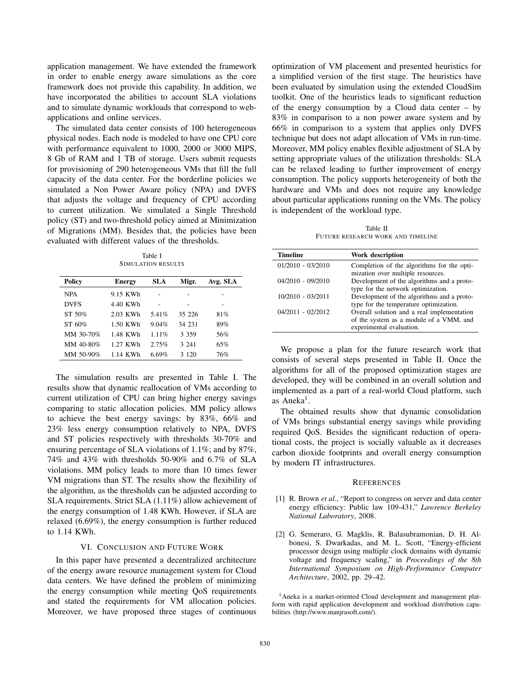application management. We have extended the framework in order to enable energy aware simulations as the core framework does not provide this capability. In addition, we have incorporated the abilities to account SLA violations and to simulate dynamic workloads that correspond to webapplications and online services.

The simulated data center consists of 100 heterogeneous physical nodes. Each node is modeled to have one CPU core with performance equivalent to 1000, 2000 or 3000 MIPS, 8 Gb of RAM and 1 TB of storage. Users submit requests for provisioning of 290 heterogeneous VMs that fill the full capacity of the data center. For the borderline policies we simulated a Non Power Aware policy (NPA) and DVFS that adjusts the voltage and frequency of CPU according to current utilization. We simulated a Single Threshold policy (ST) and two-threshold policy aimed at Minimization of Migrations (MM). Besides that, the policies have been evaluated with different values of the thresholds.

Table I SIMULATION RESULTS

| <b>Policy</b> | <b>Energy</b> | <b>SLA</b> | Migr.   | Avg. SLA |
|---------------|---------------|------------|---------|----------|
| NPA           | 9.15 KWh      |            |         |          |
| <b>DVFS</b>   | 4.40 KWh      |            |         |          |
| ST 50%        | 2.03 KWh      | 5.41%      | 35 226  | 81%      |
| ST 60%        | 1.50 KWh      | $9.04\%$   | 34 231  | 89%      |
| MM 30-70%     | 1.48 KWh      | $1.11\%$   | 3 3 5 9 | 56%      |
| MM 40-80%     | 1.27 KWh      | 2.75%      | 3 241   | 65%      |
| MM 50-90%     | 1.14 KWh      | 6.69%      | 3 1 2 0 | 76%      |

The simulation results are presented in Table I. The results show that dynamic reallocation of VMs according to current utilization of CPU can bring higher energy savings comparing to static allocation policies. MM policy allows to achieve the best energy savings: by 83%, 66% and 23% less energy consumption relatively to NPA, DVFS and ST policies respectively with thresholds 30-70% and ensuring percentage of SLA violations of 1.1%; and by 87%, 74% and 43% with thresholds 50-90% and 6.7% of SLA violations. MM policy leads to more than 10 times fewer VM migrations than ST. The results show the flexibility of the algorithm, as the thresholds can be adjusted according to SLA requirements. Strict SLA (1.11%) allow achievement of the energy consumption of 1.48 KWh. However, if SLA are relaxed (6.69%), the energy consumption is further reduced to 1.14 KWh.

# VI. CONCLUSION AND FUTURE WORK

In this paper have presented a decentralized architecture of the energy aware resource management system for Cloud data centers. We have defined the problem of minimizing the energy consumption while meeting QoS requirements and stated the requirements for VM allocation policies. Moreover, we have proposed three stages of continuous optimization of VM placement and presented heuristics for a simplified version of the first stage. The heuristics have been evaluated by simulation using the extended CloudSim toolkit. One of the heuristics leads to significant reduction of the energy consumption by a Cloud data center – by 83% in comparison to a non power aware system and by 66% in comparison to a system that applies only DVFS technique but does not adapt allocation of VMs in run-time. Moreover, MM policy enables flexible adjustment of SLA by setting appropriate values of the utilization thresholds: SLA can be relaxed leading to further improvement of energy consumption. The policy supports heterogeneity of both the hardware and VMs and does not require any knowledge about particular applications running on the VMs. The policy is independent of the workload type.

Table II FUTURE RESEARCH WORK AND TIMELINE

| <b>Timeline</b>     | <b>Work description</b>                                                                                           |
|---------------------|-------------------------------------------------------------------------------------------------------------------|
| $01/2010 - 03/2010$ | Completion of the algorithms for the opti-<br>mization over multiple resources.                                   |
| $04/2010 - 09/2010$ | Development of the algorithms and a proto-<br>type for the network optimization.                                  |
| 10/2010 - 03/2011   | Development of the algorithms and a proto-<br>type for the temperature optimization.                              |
| $04/2011 - 02/2012$ | Overall solution and a real implementation<br>of the system as a module of a VMM, and<br>experimental evaluation. |

We propose a plan for the future research work that consists of several steps presented in Table II. Once the algorithms for all of the proposed optimization stages are developed, they will be combined in an overall solution and implemented as a part of a real-world Cloud platform, such as Aneka<sup>1</sup>.

The obtained results show that dynamic consolidation of VMs brings substantial energy savings while providing required QoS. Besides the significant reduction of operational costs, the project is socially valuable as it decreases carbon dioxide footprints and overall energy consumption by modern IT infrastructures.

#### **REFERENCES**

- [1] R. Brown *et al.*, "Report to congress on server and data center energy efficiency: Public law 109-431," *Lawrence Berkeley National Laboratory*, 2008.
- [2] G. Semeraro, G. Magklis, R. Balasubramonian, D. H. Albonesi, S. Dwarkadas, and M. L. Scott, "Energy-efficient processor design using multiple clock domains with dynamic voltage and frequency scaling," in *Proceedings of the 8th International Symposium on High-Performance Computer Architecture*, 2002, pp. 29–42.

 $<sup>1</sup>$ Aneka is a market-oriented Cloud development and management plat-</sup> form with rapid application development and workload distribution capabilities (http://www.manjrasoft.com/).